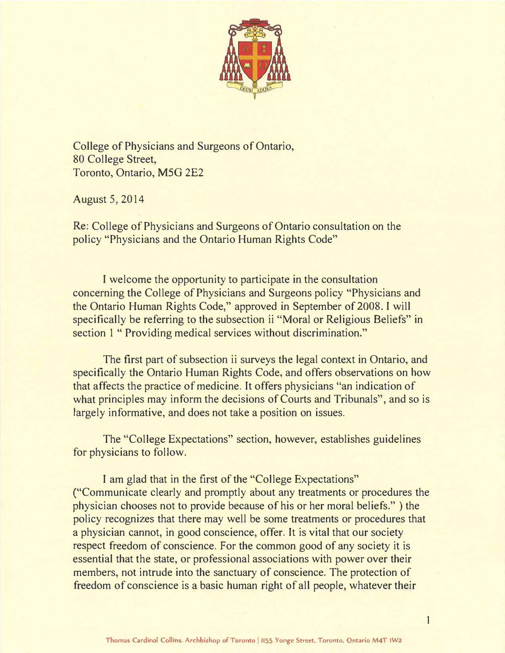

College of Physicians and Surgeons of Ontario, 80 College Street, Toronto, Ontario, MSG 2E2

August 5, 2014

Re: College of Physicians and Surgeons of Ontario consultation on the policy "Physicians and the Ontario Human Rights Code"

I welcome the opportunity to participate in the consultation concerning the College of Physicians and Surgeons policy "Physicians and the Ontario Human Rights Code," approved in September of 2008. I will specifically be referring to the subsection ii "Moral or Religious Beliefs" in section 1 " Providing medical services without discrimination."

The first part of subsection ii surveys the legal context in Ontario, and specifically the Ontario Human Rights Code, and offers observations on how that affects the practice of medicine. It offers physicians "an indication of what principles may inform the decisions of Courts and Tribunals", and so is largely informative, and does not take a position on issues.

The "College Expectations" section, however, establishes guidelines for physicians to follow.

I am glad that in the first of the "College Expectations" ("Communicate clearly and promptly about any treatments or procedures the physician chooses not to provide because of his or her moral beliefs." ) the policy recognizes that there may well be some treatments or procedures that a physician cannot, in good conscience, offer. It is vital that our society respect freedom of conscience. For the common good of any society it is essential that the state, or professional associations with power over their members, not intrude into the sanctuary of conscience. The protection of freedom of conscience is a basic human right of all people, whatever their

 $\overline{1}$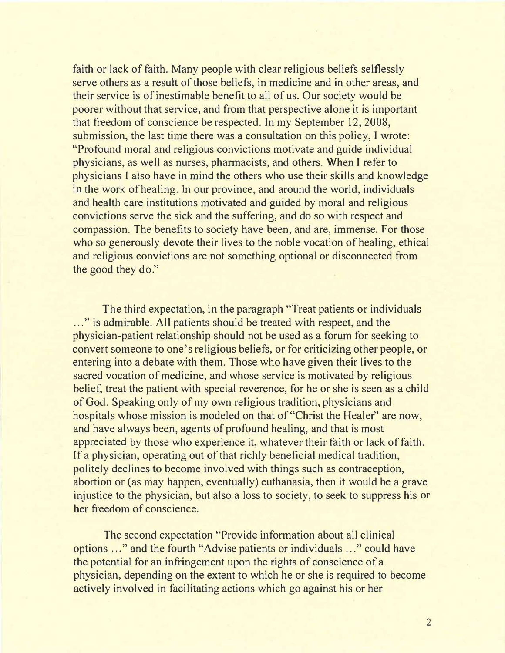faith or lack of faith. Many people with clear religious beliefs selflessly serve others as a result of those beliefs, in medicine and in other areas, and their service is of inestimable benefit to all of us. Our society would be poorer without that service, and from that perspective alone it is important that freedom of conscience be respected. In my September 12, 2008, submission, the last time there was a consultation on this policy, I wrote: "Profound moral and religious convictions motivate and guide individual physicians, as well as nurses, pharmacists, and others. When I refer to physicians I also have in mind the others who use their skills and knowledge in the work of healing. In our province, and around the world, individuals and health care institutions motivated and guided by moral and religious convictions serve the sick and the suffering, and do so with respect and compassion. The benefits to society have been, and are, immense. For those who so generously devote their lives to the noble vocation of healing, ethical and religious convictions are not something optional or disconnected from the good they do."

The third expectation, in the paragraph "Treat patients or individuals ..." is admirable. All patients should be treated with respect, and the physician-patient relationship should not be used as a forum for seeking to convert someone to one's religious beliefs, or for criticizing other people, or entering into a debate with them. Those who have given their lives to the sacred vocation of medicine, and whose service is motivated by religious belief, treat the patient with special reverence, for he or she is seen as a child of God. Speaking only of my own religious tradition, physicians and hospitals whose mission is modeled on that of "Christ the Healer" are now, and have always been, agents of profound healing, and that is most appreciated by those who experience it, whatever their faith or lack of faith. If a physician, operating out of that richly beneficial medical tradition, politely declines to become involved with things such as contraception, abortion or (as may happen, eventually) euthanasia, then it would be a grave injustice to the physician, but also a loss to society, to seek to suppress his or her freedom of conscience.

The second expectation "Provide information about all clinical options ... " and the fourth "Advise patients or individuals . .. " could have the potential for an infringement upon the rights of conscience of a physician, depending on the extent to which he or she is required to become actively involved in facilitating actions which go against his or her